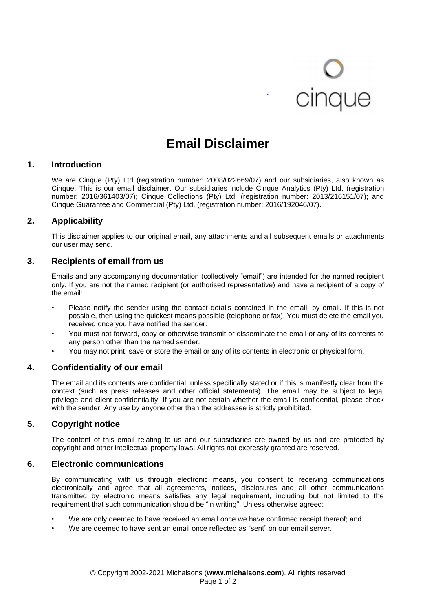# cinque

# **Email Disclaimer**

# **1. Introduction**

We are Cinque (Pty) Ltd (registration number: 2008/022669/07) and our subsidiaries, also known as Cinque. This is our email disclaimer. Our subsidiaries include Cinque Analytics (Pty) Ltd, (registration number: 2016/361403/07); Cinque Collections (Pty) Ltd, (registration number: 2013/216151/07); and Cinque Guarantee and Commercial (Pty) Ltd, (registration number: 2016/192046/07).

# **2. Applicability**

This disclaimer applies to our original email, any attachments and all subsequent emails or attachments our user may send.

# **3. Recipients of email from us**

Emails and any accompanying documentation (collectively "email") are intended for the named recipient only. If you are not the named recipient (or authorised representative) and have a recipient of a copy of the email:

- Please notify the sender using the contact details contained in the email, by email. If this is not possible, then using the quickest means possible (telephone or fax). You must delete the email you received once you have notified the sender.
- You must not forward, copy or otherwise transmit or disseminate the email or any of its contents to any person other than the named sender.
- You may not print, save or store the email or any of its contents in electronic or physical form.

# **4. Confidentiality of our email**

The email and its contents are confidential, unless specifically stated or if this is manifestly clear from the context (such as press releases and other official statements). The email may be subject to legal privilege and client confidentiality. If you are not certain whether the email is confidential, please check with the sender. Any use by anyone other than the addressee is strictly prohibited.

# **5. Copyright notice**

The content of this email relating to us and our subsidiaries are owned by us and are protected by copyright and other intellectual property laws. All rights not expressly granted are reserved.

# **6. Electronic communications**

By communicating with us through electronic means, you consent to receiving communications electronically and agree that all agreements, notices, disclosures and all other communications transmitted by electronic means satisfies any legal requirement, including but not limited to the requirement that such communication should be "in writing". Unless otherwise agreed:

- We are only deemed to have received an email once we have confirmed receipt thereof; and
- We are deemed to have sent an email once reflected as "sent" on our email server.